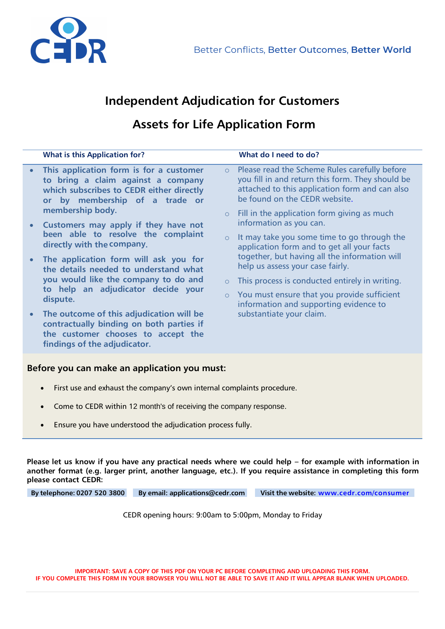

## **Independent Adjudication for Customers**

## **Assets for Life Application Form**

|  | <b>What is this Application for?</b>                                                                                                                                     |                                                                                                                               | What do I need to do?                                                                                                                                                                |
|--|--------------------------------------------------------------------------------------------------------------------------------------------------------------------------|-------------------------------------------------------------------------------------------------------------------------------|--------------------------------------------------------------------------------------------------------------------------------------------------------------------------------------|
|  | This application form is for a customer<br>to bring a claim against a company<br>which subscribes to CEDR either directly<br>or by membership of a trade or              | $\circ$                                                                                                                       | Please read the Scheme Rules carefully before<br>you fill in and return this form. They should be<br>attached to this application form and can also<br>be found on the CEDR website. |
|  | membership body.<br>Customers may apply if they have not<br>been able to resolve the complaint<br>directly with the company.                                             | $\circ$ Fill in the application form giving as much<br>information as you can.<br>$\circ$<br>help us assess your case fairly. |                                                                                                                                                                                      |
|  |                                                                                                                                                                          |                                                                                                                               | It may take you some time to go through the<br>application form and to get all your facts<br>together, but having all the information will                                           |
|  | The application form will ask you for<br>the details needed to understand what<br>you would like the company to do and<br>to help an adjudicator decide your<br>dispute. |                                                                                                                               |                                                                                                                                                                                      |
|  |                                                                                                                                                                          | $\circ$                                                                                                                       | This process is conducted entirely in writing.                                                                                                                                       |
|  |                                                                                                                                                                          |                                                                                                                               | $\circ$ You must ensure that you provide sufficient<br>information and supporting evidence to                                                                                        |
|  | The outcome of this adjudication will be<br>contractually binding on both parties if<br>the customer chooses to accept the<br>findings of the adjudicator.               |                                                                                                                               | substantiate your claim.                                                                                                                                                             |
|  |                                                                                                                                                                          |                                                                                                                               |                                                                                                                                                                                      |

## **Before you can make an application you must:**

- First use and exhaust the company's own internal complaints procedure.
- Come to CEDR within 12 month's of receiving the company response.
- Ensure you have understood the adjudication process fully.

**Please let us know if you have any practical needs where we could help – for example with information in another format (e.g. larger print, another language, etc.). If you require assistance in completing this form please contact CEDR:**

**By telephone: 0207 520 3800 By email: [applications@cedr.com](mailto:applications@cedr.com) Visit the website: [www.cedr.com/consumer](http://www.cedr.com/consumer)** 

CEDR opening hours: 9:00am to 5:00pm, Monday to Friday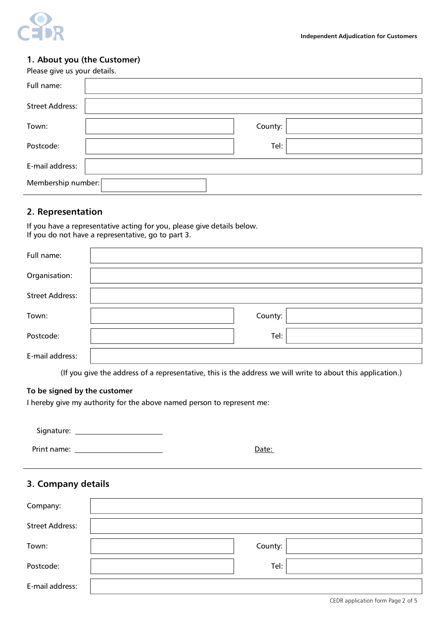

#### **1. About you (the Customer)**

| Please give us your details. |         |  |
|------------------------------|---------|--|
| Full name:                   |         |  |
| <b>Street Address:</b>       |         |  |
| Town:                        | County: |  |
| Postcode:                    | Tel:    |  |
| E-mail address:              |         |  |
| Membership number:           |         |  |

### **2. Representation**

 $\overline{a}$ 

If you have a representative acting for you, please give details below. If you do not have a representative, go to part 3.

| Full name:             |         |  |
|------------------------|---------|--|
| Organisation:          |         |  |
| <b>Street Address:</b> |         |  |
| Town:                  | County: |  |
| Postcode:              | Tel:    |  |
| E-mail address:        |         |  |

(If you give the address of a representative, this is the address we will write to about this application.)

## **To be signed by the customer**

I hereby give my authority for the above named person to represent me:

| Signature: |  |
|------------|--|
|            |  |

Print name: Date:

## **3. Company details**

| Company:               |         |  |
|------------------------|---------|--|
| <b>Street Address:</b> |         |  |
| Town:                  | County: |  |
| Postcode:              | Tel:    |  |
| E-mail address:        |         |  |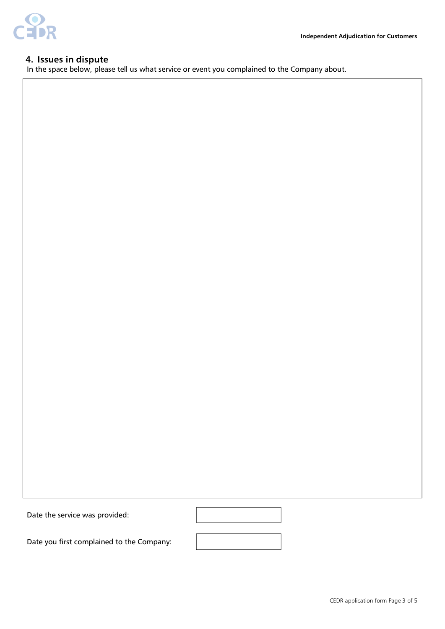

### **4. Issues in dispute**

In the space below, please tell us what service or event you complained to the Company about.

Date the service was provided:

Date you first complained to the Company: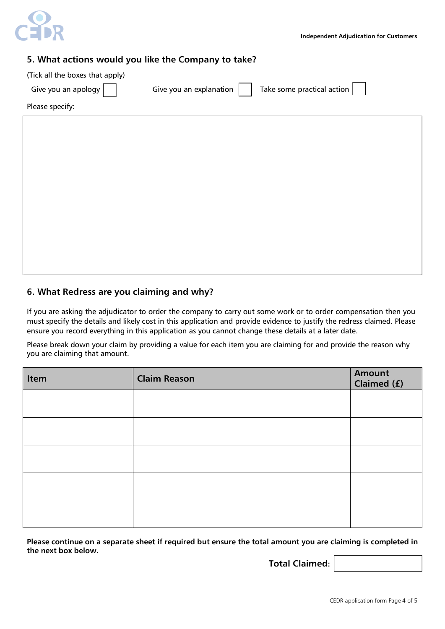

## **5. What actions would you like the Company to take?**

(Tick all the boxes that apply)

| Give you an apology |  |  |  |
|---------------------|--|--|--|
|                     |  |  |  |

Give you an explanation  $\vert \vert$  Take some practical action

Please specify:

## **6. What Redress are you claiming and why?**

If you are asking the adjudicator to order the company to carry out some work or to order compensation then you must specify the details and likely cost in this application and provide evidence to justify the redress claimed. Please ensure you record everything in this application as you cannot change these details at a later date.

Please break down your claim by providing a value for each item you are claiming for and provide the reason why you are claiming that amount.

| Item | <b>Claim Reason</b> | Amount<br>Claimed (£) |
|------|---------------------|-----------------------|
|      |                     |                       |
|      |                     |                       |
|      |                     |                       |
|      |                     |                       |
|      |                     |                       |

**Please continue on a separate sheet if required but ensure the total amount you are claiming is completed in the next box below.**

**Total Claimed:**